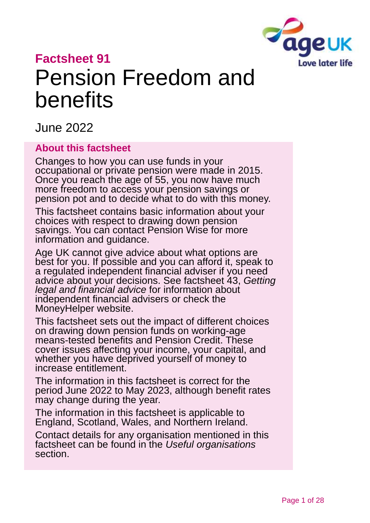

# **Factsheet 91** Pension Freedom and benefits

June 2022

### **About this factsheet**

Changes to how you can use funds in your occupational or private pension were made in 2015. Once you reach the age of 55, you now have much more freedom to access your pension savings or pension pot and to decide what to do with this money.

This factsheet contains basic information about your choices with respect to drawing down pension savings. You can contact [Pension Wise](https://www.moneyhelper.org.uk/en/pensions-and-retirement/pension-wise) for more information and guidance.

Age UK cannot give advice about what options are best for you. If possible and you can afford it, speak to a regulated independent financial adviser if you need advice about your decisions. See factsheet 43, *[Getting](https://www.ageuk.org.uk/globalassets/age-uk/documents/factsheets/fs43-getting-legal-and-financial-advice.pdf)  [legal and financial advice](https://www.ageuk.org.uk/globalassets/age-uk/documents/factsheets/fs43-getting-legal-and-financial-advice.pdf)* for information about independent financial advisers or check the [MoneyHelper](https://www.moneyhelper.org.uk/en/getting-help-and-advice/financial-advisers/choosing-a-financial-adviser) website.

This factsheet sets out the impact of different choices on drawing down pension funds on working-age means-tested benefits and Pension Credit. These cover issues affecting your income, your capital, and whether you have deprived yourself of money to increase entitlement.

The information in this factsheet is correct for the period June 2022 to May 2023, although benefit rates may change during the year.

The information in this factsheet is applicable to England, Scotland, Wales, and Northern Ireland.

Contact details for any organisation mentioned in this factsheet can be found in the *[Useful organisations](#page-22-0)* section.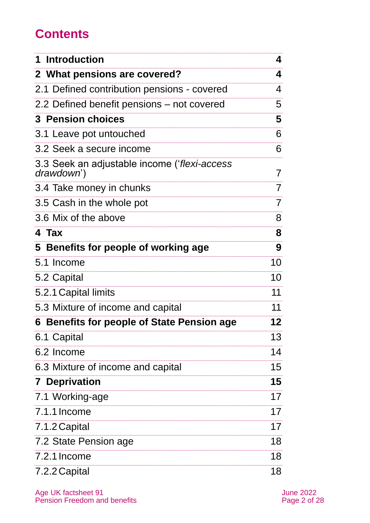## **Contents**

| <b>Introduction</b>                                        | 4  |
|------------------------------------------------------------|----|
| 2 What pensions are covered?                               | 4  |
| 2.1 Defined contribution pensions - covered                | 4  |
| 2.2 Defined benefit pensions – not covered                 | 5  |
| <b>3 Pension choices</b>                                   | 5  |
| 3.1 Leave pot untouched                                    | 6  |
| 3.2 Seek a secure income                                   | 6  |
| 3.3 Seek an adjustable income ('flexi-access<br>drawdown') | 7  |
| 3.4 Take money in chunks                                   | 7  |
| 3.5 Cash in the whole pot                                  | 7  |
| 3.6 Mix of the above                                       | 8  |
| 4 Tax                                                      | 8  |
| 5 Benefits for people of working age                       | 9  |
| 5.1 Income                                                 | 10 |
| 5.2 Capital                                                | 10 |
| 5.2.1 Capital limits                                       | 11 |
| 5.3 Mixture of income and capital                          | 11 |
| 6 Benefits for people of State Pension age                 | 12 |
| 6.1 Capital                                                | 13 |
| 6.2 Income                                                 | 14 |
| 6.3 Mixture of income and capital                          | 15 |
| <b>7 Deprivation</b>                                       | 15 |
| 7.1 Working-age                                            | 17 |
| 7.1.1 Income                                               | 17 |
| 7.1.2 Capital                                              | 17 |
| 7.2 State Pension age                                      | 18 |
| 7.2.1 Income                                               | 18 |
| 7.2.2 Capital                                              | 18 |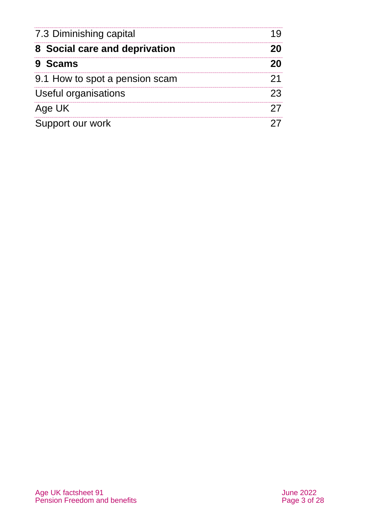| 7.3 Diminishing capital<br>8 Social care and deprivation<br>9 Scams |  |
|---------------------------------------------------------------------|--|
|                                                                     |  |
|                                                                     |  |
| 9.1 How to spot a pension scam                                      |  |
| Useful organisations                                                |  |
| Age UK                                                              |  |
| Support our work                                                    |  |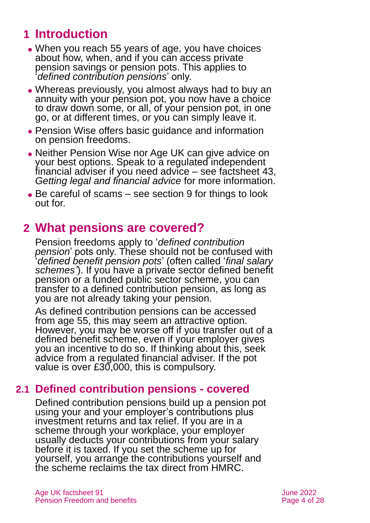## <span id="page-3-0"></span>**1 Introduction**

- When you reach 55 years of age, you have choices about how, when, and if you can access private pension savings or pension pots. This applies to '*defined contribution pensions*' only.
- ⚫ Whereas previously, you almost always had to buy an annuity with your pension pot, you now have a choice to draw down some, or all, of your pension pot, in one go, or at different times, or you can simply leave it.
- ⚫ [Pension Wise](https://www.moneyhelper.org.uk/en/pensions-and-retirement/pension-wise) offers basic guidance and information on pension freedoms.
- ⚫ Neither Pension Wise nor Age UK can give advice on your best options. Speak to a regulated independent financial adviser if you need advice – see factsheet 43, *[Getting legal and financial advice](https://www.ageuk.org.uk/globalassets/age-uk/documents/factsheets/fs43-getting-legal-and-financial-advice.pdf)* for more information.
- Be careful of scams see [section 9](#page-19-1) for things to look out for.

## <span id="page-3-1"></span>**2 What pensions are covered?**

Pension freedoms apply to '*defined contribution pension*' pots only. These should not be confused with '*defined benefit pension pots*' (often called '*final salary schemes'*). If you have a private sector defined benefit pension or a funded public sector scheme, you can transfer to a defined contribution pension, as long as you are not already taking your pension.

As defined contribution pensions can be accessed from age 55, this may seem an attractive option. However, you may be worse off if you transfer out of a defined benefit scheme, even if your employer gives you an incentive to do so. If thinking about this, seek advice from a regulated financial adviser. If the pot value is over £30,000, this is compulsory.

## **2.1 Defined contribution pensions - covered**

Defined contribution pensions build up a pension pot using your and your employer's contributions plus investment returns and tax relief. If you are in a scheme through your workplace, your employer usually deducts your contributions from your salary before it is taxed. If you set the scheme up for yourself, you arrange the contributions yourself and the scheme reclaims the tax direct from HMRC.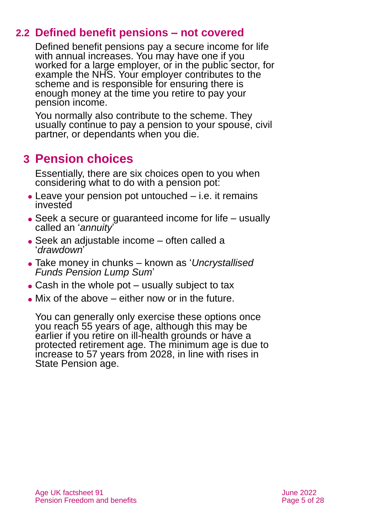## **2.2 Defined benefit pensions – not covered**

Defined benefit pensions pay a secure income for life with annual increases. You may have one if you worked for a large employer, or in the public sector, for example the NHS. Your employer contributes to the scheme and is responsible for ensuring there is enough money at the time you retire to pay your pension income.

You normally also contribute to the scheme. They usually continue to pay a pension to your spouse, civil partner, or dependants when you die.

## <span id="page-4-0"></span>**3 Pension choices**

Essentially, there are six choices open to you when considering what to do with a pension pot:

- ⚫ Leave your pension pot untouched i.e. it remains invested
- ⚫ Seek a secure or guaranteed income for life usually called an '*annuity*'
- ⚫ Seek an adjustable income often called a '*drawdown*'
- ⚫ Take money in chunks known as '*Uncrystallised Funds Pension Lump Sum*'
- $\bullet$  Cash in the whole pot usually subject to tax
- $\bullet$  Mix of the above either now or in the future.

You can generally only exercise these options once you reach 55 years of age, although this may be earlier if you retire on ill-health grounds or have a protected retirement age. The minimum age is due to increase to 57 years from 2028, in line with rises in State Pension age.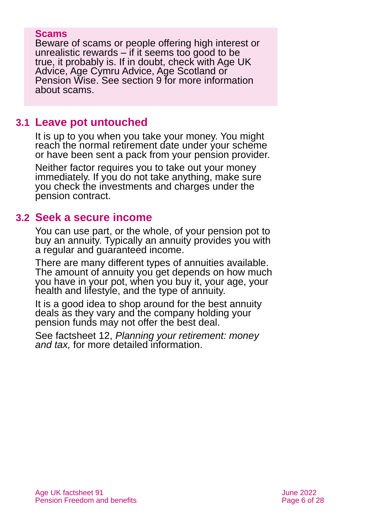#### **Scams**

Beware of scams or people offering high interest or unrealistic rewards – if it seems too good to be true, it probably is. If in doubt, check with [Age UK](#page-26-0)  [Advice,](#page-26-0) Age Cymru Advice, Age Scotland or [Pension Wise.](https://www.moneyhelper.org.uk/en/pensions-and-retirement/pension-wise) See [section 9](#page-19-1) for more information about scams.

## **3.1 Leave pot untouched**

It is up to you when you take your money. You might reach the normal retirement date under your scheme or have been sent a pack from your pension provider.

Neither factor requires you to take out your money immediately. If you do not take anything, make sure you check the investments and charges under the pension contract.

## **3.2 Seek a secure income**

You can use part, or the whole, of your pension pot to buy an annuity. Typically an annuity provides you with a regular and guaranteed income.

There are many different types of annuities available. The amount of annuity you get depends on how much you have in your pot, when you buy it, your age, your health and lifestyle, and the type of annuity.

It is a good idea to shop around for the best annuity deals as they vary and the company holding your pension funds may not offer the best deal.

See factsheet 12, *[Planning your retirement: money](https://www.ageuk.org.uk/globalassets/age-uk/documents/factsheets/fs12_planning_your_retirement_money_and_tax_fcs.pdf)  [and tax,](https://www.ageuk.org.uk/globalassets/age-uk/documents/factsheets/fs12_planning_your_retirement_money_and_tax_fcs.pdf)* for more detailed information.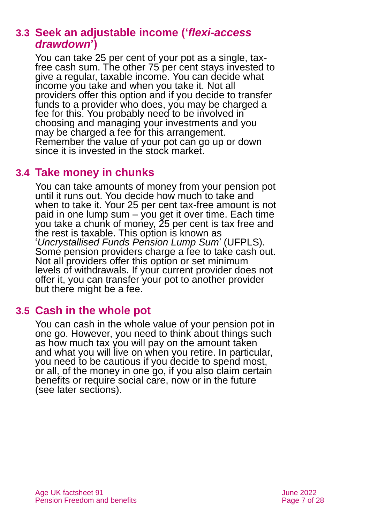## **3.3 Seek an adjustable income ('***flexi-access drawdown***')**

You can take 25 per cent of your pot as a single, taxfree cash sum. The other 75 per cent stays invested to give a regular, taxable income. You can decide what income you take and when you take it. Not all providers offer this option and if you decide to transfer funds to a provider who does, you may be charged a fee for this. You probably need to be involved in choosing and managing your investments and you may be charged a fee for this arrangement. Remember the value of your pot can go up or down since it is invested in the stock market.

## **3.4 Take money in chunks**

You can take amounts of money from your pension pot until it runs out. You decide how much to take and when to take it. Your 25 per cent tax-free amount is not paid in one lump sum – you get it over time. Each time you take a chunk of money, 25 per cent is tax free and the rest is taxable. This option is known as '*Uncrystallised Funds Pension Lump Sum*' (UFPLS). Some pension providers charge a fee to take cash out. Not all providers offer this option or set minimum levels of withdrawals. If your current provider does not offer it, you can transfer your pot to another provider but there might be a fee.

## **3.5 Cash in the whole pot**

You can cash in the whole value of your pension pot in one go. However, you need to think about things such as how much tax you will pay on the amount taken and what you will live on when you retire. In particular, you need to be cautious if you decide to spend most, or all, of the money in one go, if you also claim certain benefits or require social care, now or in the future (see later [sections\).](#page-19-0)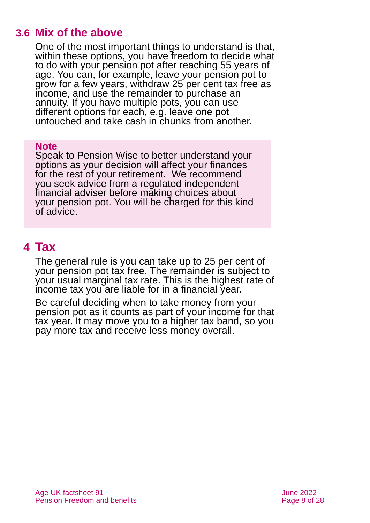## **3.6 Mix of the above**

One of the most important things to understand is that, within these options, you have freedom to decide what to do with your pension pot after reaching 55 years of age. You can, for example, leave your pension pot to grow for a few years, withdraw 25 per cent tax free as income, and use the remainder to purchase an annuity. If you have multiple pots, you can use different options for each, e.g. leave one pot untouched and take cash in chunks from another.

#### **Note**

Speak to [Pension Wise](https://www.moneyhelper.org.uk/en/pensions-and-retirement/pension-wise) to better understand your options as your decision will affect your finances for the rest of your retirement. We recommend you seek advice from a regulated independent financial adviser before making choices about your pension pot. You will be charged for this kind of advice.

## <span id="page-7-0"></span>**4 Tax**

The general rule is you can take up to 25 per cent of your pension pot tax free. The remainder is subject to your usual marginal tax rate. This is the highest rate of income tax you are liable for in a financial year.

Be careful deciding when to take money from your pension pot as it counts as part of your income for that tax year. It may move you to a higher tax band, so you pay more tax and receive less money overall.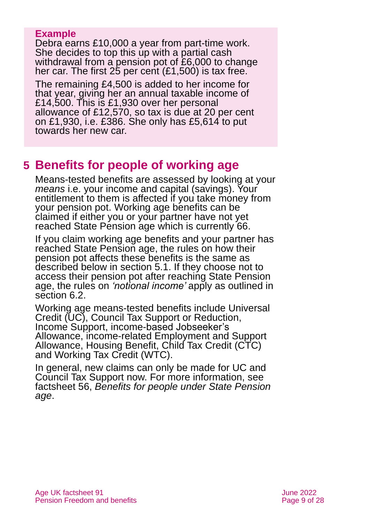### **Example**

Debra earns £10,000 a year from part-time work. She decides to top this up with a partial cash withdrawal from a pension pot of £6,000 to change her car. The first 25 per cent (£1,500) is tax free.

The remaining £4,500 is added to her income for that year, giving her an annual taxable income of £14,500. This is £1,930 over her personal allowance of £12,570, so tax is due at 20 per cent on £1,930, i.e. £386. She only has £5,614 to put towards her new car.

## <span id="page-8-0"></span>**5 Benefits for people of working age**

Means-tested benefits are assessed by looking at your *means* i.e. your income and capital (savings). Your entitlement to them is affected if you take money from your pension pot. Working age benefits can be claimed if either you or your partner have not yet reached State Pension age which is currently 66.

If you claim working age benefits and your partner has reached State Pension age, the rules on how their pension pot affects these benefits is the same as described below in [section 5.1.](#page-9-0) If they choose not to access their pension pot after reaching State Pension age, the rules on *'notional income'* apply as outlined in [section 6.2.](#page-13-0)

Working age means-tested benefits include Universal Credit (UC), Council Tax Support or Reduction, Income Support, income-based Jobseeker's Allowance, income-related Employment and Support Allowance, Housing Benefit, Child Tax Credit (CTC) and Working Tax Credit (WTC).

In general, new claims can only be made for UC and Council Tax Support now. For more information, see factsheet 56, *[Benefits for people under State Pension](https://www.ageuk.org.uk/globalassets/age-uk/documents/factsheets/fs56-benefits-for-people-under-state-pension-age.pdf)  [age](https://www.ageuk.org.uk/globalassets/age-uk/documents/factsheets/fs56-benefits-for-people-under-state-pension-age.pdf)*.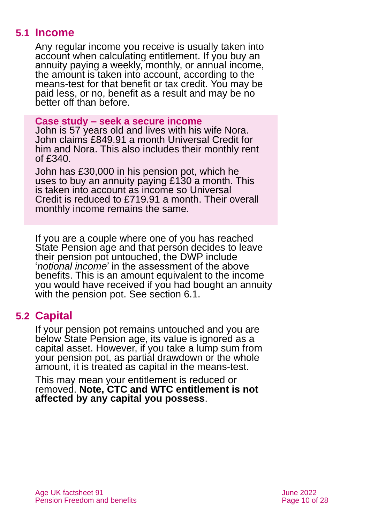## **5.1 Income**

<span id="page-9-0"></span>Any regular income you receive is usually taken into account when calculating entitlement. If you buy an annuity paying a weekly, monthly, or annual income, the amount is taken into account, according to the means-test for that benefit or tax credit. You may be paid less, or no, benefit as a result and may be no better off than before.

#### **Case study – seek a secure income**

John is 57 years old and lives with his wife Nora. John claims £849.91 a month Universal Credit for him and Nora. This also includes their monthly rent of £340.

John has £30,000 in his pension pot, which he uses to buy an annuity paying £130 a month. This is taken into account as income so Universal Credit is reduced to £719.91 a month. Their overall monthly income remains the same.

If you are a couple where one of you has reached State Pension age and that person decides to leave their pension pot untouched, the DWP include '*notional income*' in the assessment of the above benefits. This is an amount equivalent to the income you would have received if you had bought an annuity with the pension pot. See [section 6.1.](#page-12-0)

## **5.2 Capital**

If your pension pot remains untouched and you are below State Pension age, its value is ignored as a capital asset. However, if you take a lump sum from your pension pot, as partial drawdown or the whole amount, it is treated as capital in the means-test.

This may mean your entitlement is reduced or removed. **Note, CTC and WTC entitlement is not affected by any capital you possess**.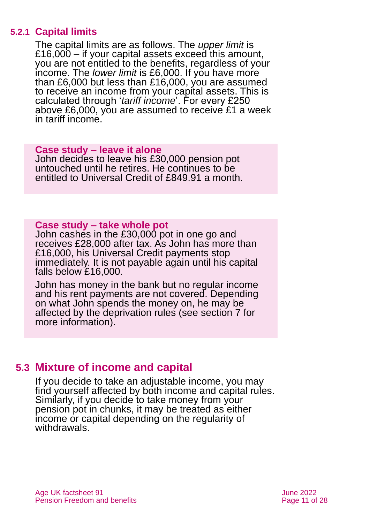### **5.2.1 Capital limits**

The capital limits are as follows. The *upper limit* is £16,000 – if your capital assets exceed this amount, you are not entitled to the benefits, regardless of your income. The *lower limit* is £6,000. If you have more than £6,000 but less than £16,000, you are assumed to receive an income from your capital assets. This is calculated through '*tariff income*'. For every £250 above £6,000, you are assumed to receive £1 a week in tariff income.

#### **Case study – leave it alone**

John decides to leave his £30,000 pension pot untouched until he retires. He continues to be entitled to Universal Credit of £849.91 a month.

#### **Case study – take whole pot**

**Case study – leave it alone** John cashes in the £30,000 pot in one go and borm eached in the Eco, oce pot in one go and receives £28,000 after tax. As John has more than necented 226,000 and tax he commissioners.<br>£16,000, his Universal Credit payments stop Erb, boo, the Universal Orean paymonts clep<br>immediately. It is not payable again until his capital falls below £16,000.

John has money in the bank but no regular income and his rent payments are not covered. Depending on what John spends the money on, he may be affected by the deprivation rules (see [section 7](#page-14-0) for more information).

## **5.3 Mixture of income and capital**

If you decide to take an adjustable income, you may find yourself affected by both income and capital rules. Similarly, if you decide to take money from your pension pot in chunks, it may be treated as either income or capital depending on the regularity of withdrawals.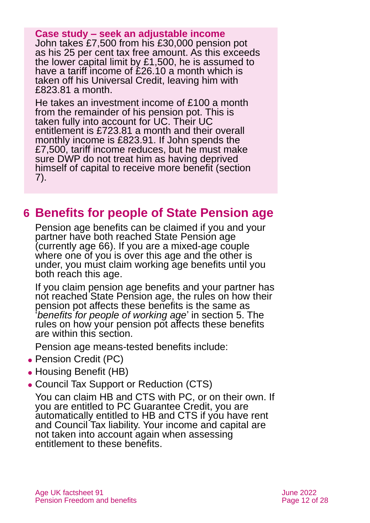#### **Case study – seek an adjustable income**

John takes £7,500 from his £30,000 pension pot as his 25 per cent tax free amount. As this exceeds the lower capital limit by £1,500, he is assumed to have a tariff income of £26.10 a month which is taken off his Universal Credit, leaving him with £823.81 a month.

He takes an investment income of £100 a month from the remainder of his pension pot. This is taken fully into account for UC. Their UC entitlement is £723.81 a month and their overall monthly income is £823.91. If John spends the £7,500, tariff income reduces, but he must make sure DWP do not treat him as having deprived himself of capital to receive more benefit [\(section](#page-14-0)  [7\)](#page-14-0).

## <span id="page-11-0"></span>**6 Benefits for people of State Pension age**

Pension age benefits can be claimed if you and your partner have both reached State Pension age (currently age 66). If you are a mixed-age couple where one of you is over this age and the other is under, you must claim working age benefits until you both reach this age.

If you claim pension age benefits and your partner has not reached State Pension age, the rules on how their pension pot affects these benefits is the same as '*benefits for people of working age*' in [section 5.](#page-8-0) The rules on how your pension pot affects these benefits are within this section.

Pension age means-tested benefits include:

- ⚫ Pension Credit (PC)
- Housing Benefit (HB)
- ⚫ Council Tax Support or Reduction (CTS)

You can claim HB and CTS with PC, or on their own. If you are entitled to PC Guarantee Credit, you are automatically entitled to HB and CTS if you have rent and Council Tax liability. Your income and capital are not taken into account again when assessing entitlement to these benefits.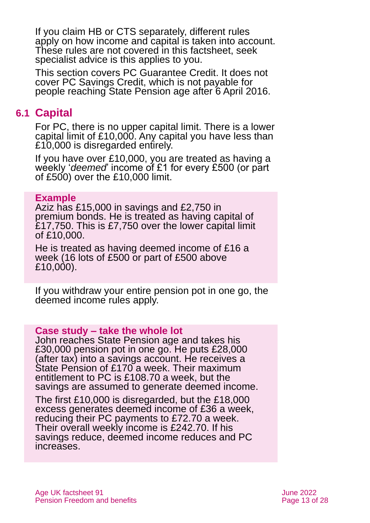If you claim HB or CTS separately, different rules apply on how income and capital is taken into account. These rules are not covered in this factsheet, seek specialist advice is this applies to you.

This section covers PC Guarantee Credit. It does not cover PC Savings Credit, which is not payable for people reaching State Pension age after 6 April 2016.

## <span id="page-12-0"></span>**6.1 Capital**

For PC, there is no upper capital limit. There is a lower capital limit of £10,000. Any capital you have less than £10,000 is disregarded entirely.

If you have over £10,000, you are treated as having a weekly '*deemed*' income of £1 for every £500 (or part of £500) over the £10,000 limit.

#### **Example**

Aziz has £15,000 in savings and £2,750 in premium bonds. He is treated as having capital of £17,750. This is £7,750 over the lower capital limit of £10,000.

He is treated as having deemed income of £16 a week (16 lots of £500 or part of £500 above £10,000).

If you withdraw your entire pension pot in one go, the deemed income rules apply.

### **Case study – take the whole lot**

John reaches State Pension age and takes his £30,000 pension pot in one go. He puts £28,000 (after tax) into a savings account. He receives a State Pension of £170 a week. Their maximum entitlement to PC is £108.70 a week, but the savings are assumed to generate deemed income.

The first £10,000 is disregarded, but the £18,000 excess generates deemed income of £36 a week, reducing their PC payments to £72.70 a week. Their overall weekly income is £242.70. If his savings reduce, deemed income reduces and PC increases.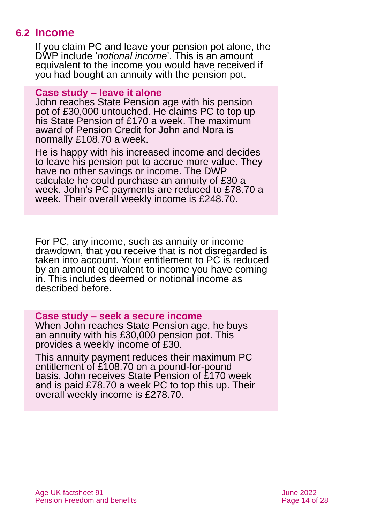## **6.2 Income**

<span id="page-13-0"></span>If you claim PC and leave your pension pot alone, the DWP include '*notional income*'. This is an amount equivalent to the income you would have received if you had bought an annuity with the pension pot.

#### **Case study – leave it alone**

John reaches State Pension age with his pension pot of £30,000 untouched. He claims PC to top up his State Pension of £170 a week. The maximum award of Pension Credit for John and Nora is normally £108.70 a week.

He is happy with his increased income and decides to leave his pension pot to accrue more value. They have no other savings or income. The DWP calculate he could purchase an annuity of £30 a week. John's PC payments are reduced to £78.70 a week. Their overall weekly income is £248.70.

For PC, any income, such as annuity or income drawdown, that you receive that is not disregarded is taken into account. Your entitlement to PC is reduced by an amount equivalent to income you have coming in. This includes deemed or notional income as described before.

#### **Case study – seek a secure income**

When John reaches State Pension age, he buys an annuity with his £30,000 pension pot. This provides a weekly income of £30.

This annuity payment reduces their maximum PC entitlement of £108.70 on a pound-for-pound basis. John receives State Pension of £170 week and is paid £78.70 a week PC to top this up. Their overall weekly income is £278.70.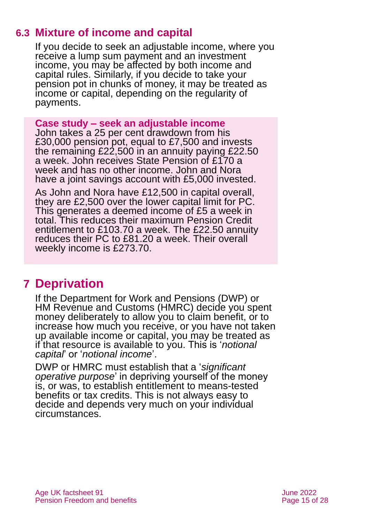## **6.3 Mixture of income and capital**

If you decide to seek an adjustable income, where you receive a lump sum payment and an investment income, you may be affected by both income and capital rules. Similarly, if you decide to take your pension pot in chunks of money, it may be treated as income or capital, depending on the regularity of payments.

#### **Case study – seek an adjustable income**

John takes a 25 per cent drawdown from his £30,000 pension pot, equal to £7,500 and invests the remaining £22,500 in an annuity paying £22.50 a week. John receives State Pension of £170 a week and has no other income. John and Nora have a joint savings account with £5,000 invested.

As John and Nora have £12,500 in capital overall, they are £2,500 over the lower capital limit for PC. This generates a deemed income of £5 a week in total. This reduces their maximum Pension Credit entitlement to £103.70 a week. The £22.50 annuity reduces their PC to £81.20 a week. Their overall weekly income is £273.70.

## <span id="page-14-0"></span>**7 Deprivation**

If the Department for Work and Pensions (DWP) or HM Revenue and Customs (HMRC) decide you spent money deliberately to allow you to claim benefit, or to increase how much you receive, or you have not taken up available income or capital, you may be treated as if that resource is available to you. This is '*notional capital*' or '*notional income*'.

DWP or HMRC must establish that a '*significant operative purpose*' in depriving yourself of the money is, or was, to establish entitlement to means-tested benefits or tax credits. This is not always easy to decide and depends very much on your individual circumstances.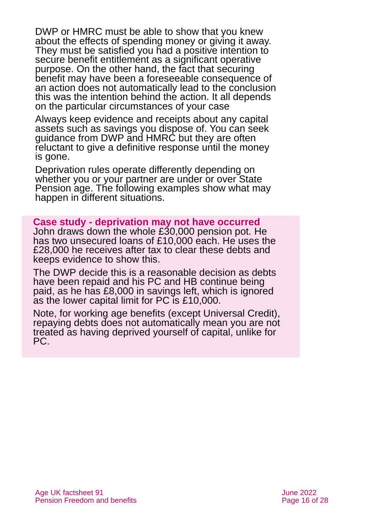DWP or HMRC must be able to show that you knew about the effects of spending money or giving it away. They must be satisfied you had a positive intention to secure benefit entitlement as a significant operative purpose. On the other hand, the fact that securing benefit may have been a foreseeable consequence of an action does not automatically lead to the conclusion this was the intention behind the action. It all depends on the particular circumstances of your case

Always keep evidence and receipts about any capital assets such as savings you dispose of. You can seek guidance from DWP and HMRC but they are often reluctant to give a definitive response until the money is gone.

Deprivation rules operate differently depending on whether you or your partner are under or over State Pension age. The following examples show what may happen in different situations.

**Case study - deprivation may not have occurred** John draws down the whole £30,000 pension pot. He has two unsecured loans of £10,000 each. He uses the £28,000 he receives after tax to clear these debts and keeps evidence to show this.

The DWP decide this is a reasonable decision as debts have been repaid and his PC and HB continue being paid, as he has £8,000 in savings left, which is ignored as the lower capital limit for PC is £10,000.

Note, for working age benefits (except Universal Credit), repaying debts does not automatically mean you are not treated as having deprived yourself of capital, unlike for PC.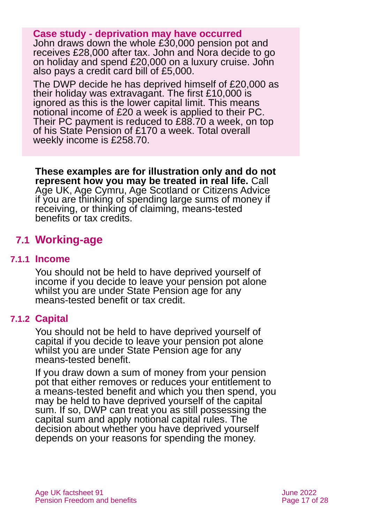#### **Case study - deprivation may have occurred**

John draws down the whole £30,000 pension pot and receives £28,000 after tax. John and Nora decide to go on holiday and spend £20,000 on a luxury cruise. John also pays a credit card bill of £5,000.

The DWP decide he has deprived himself of £20,000 as their holiday was extravagant. The first £10,000 is ignored as this is the lower capital limit. This means notional income of £20 a week is applied to their PC. Their PC payment is reduced to £88.70 a week, on top of his State Pension of £170 a week. Total overall weekly income is £258.70.

**These examples are for illustration only and do not represent how you may be treated in real life.** [Call](#page-26-0)  [Age UK,](#page-26-0) Age Cymru, Age Scotland or [Citizens Advice](#page-22-1) if you are thinking of spending large sums of money if receiving, or thinking of claiming, means-tested benefits or tax credits.

## **7.1 Working-age**

#### **7.1.1 Income**

You should not be held to have deprived yourself of income if you decide to leave your pension pot alone whilst you are under State Pension age for any means-tested benefit or tax credit.

### **7.1.2 Capital**

You should not be held to have deprived yourself of capital if you decide to leave your pension pot alone whilst you are under State Pension age for any means-tested benefit.

If you draw down a sum of money from your pension pot that either removes or reduces your entitlement to a means-tested benefit and which you then spend, you may be held to have deprived yourself of the capital sum. If so, DWP can treat you as still possessing the capital sum and apply notional capital rules. The decision about whether you have deprived yourself depends on your reasons for spending the money.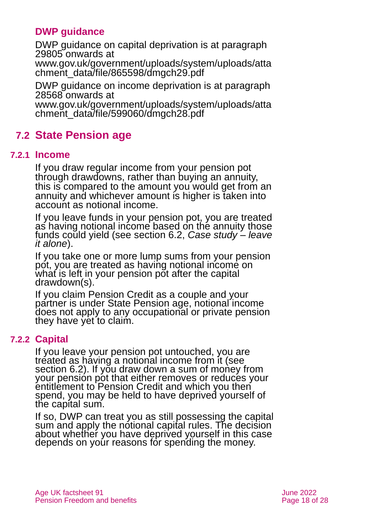## **DWP guidance**

DWP guidance on capital deprivation is at paragraph 29805 onwards at

[www.gov.uk/government/uploads/system/uploads/atta](http://www.gov.uk/government/uploads/system/uploads/attachment_data/file/865598/dmgch29.pdf) [chment\\_data/file/865598/dmgch29.pdf](http://www.gov.uk/government/uploads/system/uploads/attachment_data/file/865598/dmgch29.pdf)

DWP guidance on income deprivation is at paragraph 28568 onwards at

[www.gov.uk/government/uploads/system/uploads/atta](http://www.gov.uk/government/uploads/system/uploads/attachment_data/file/599060/dmgch28.pdf) [chment\\_data/file/599060/dmgch28.pdf](http://www.gov.uk/government/uploads/system/uploads/attachment_data/file/599060/dmgch28.pdf)

## **7.2 State Pension age**

#### **7.2.1 Income**

If you draw regular income from your pension pot through drawdowns, rather than buying an annuity, this is compared to the amount you would get from an annuity and whichever amount is higher is taken into account as notional income.

If you leave funds in your pension pot, you are treated as having notional income based on the annuity those funds could yield (see [section 6.2,](#page-13-0) *Case study – leave it alone*).

If you take one or more lump sums from your pension pot, you are treated as having notional income on what is left in your pension pot after the capital drawdown(s).

If you claim Pension Credit as a couple and your partner is under State Pension age, notional income does not apply to any occupational or private pension they have yet to claim.

### **7.2.2 Capital**

If you leave your pension pot untouched, you are treated as having a notional income from it (see [section 6.2\)](#page-13-0). If you draw down a sum of money from your pension pot that either removes or reduces your entitlement to Pension Credit and which you then spend, you may be held to have deprived yourself of the capital sum.

If so, DWP can treat you as still possessing the capital sum and apply the notional capital rules. The decision about whether you have deprived yourself in this case depends on your reasons for spending the money.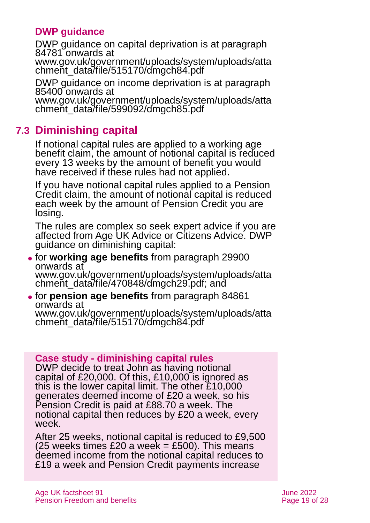## **DWP guidance**

DWP guidance on capital deprivation is at paragraph 84781 onwards at

[www.gov.uk/government/uploads/system/uploads/atta](http://www.gov.uk/government/uploads/system/uploads/attachment_data/file/515170/dmgch84.pdf) [chment\\_data/file/515170/dmgch84.pdf](http://www.gov.uk/government/uploads/system/uploads/attachment_data/file/515170/dmgch84.pdf)

DWP guidance on income deprivation is at paragraph 85400 onwards at

[www.gov.uk/government/uploads/system/uploads/atta](http://www.gov.uk/government/uploads/system/uploads/attachment_data/file/599092/dmgch85.pdf) [chment\\_data/file/599092/dmgch85.pdf](http://www.gov.uk/government/uploads/system/uploads/attachment_data/file/599092/dmgch85.pdf)

## **7.3 Diminishing capital**

If notional capital rules are applied to a working age benefit claim, the amount of notional capital is reduced every 13 weeks by the amount of benefit you would have received if these rules had not applied.

If you have notional capital rules applied to a Pension Credit claim, the amount of notional capital is reduced each week by the amount of Pension Credit you are losing.

The rules are complex so seek expert advice if you are affected from [Age UK Advice](#page-26-0) or [Citizens Advice.](#page-22-1) DWP guidance on diminishing capital:

- ⚫ for **working age benefits** from paragraph 29900 onwards at [www.gov.uk/government/uploads/system/uploads/atta](http://www.gov.uk/government/uploads/system/uploads/attachment_data/file/470848/dmgch29.pdf) [chment\\_data/file/470848/dmgch29.pdf;](http://www.gov.uk/government/uploads/system/uploads/attachment_data/file/470848/dmgch29.pdf) and
- ⚫ for **pension age benefits** from paragraph 84861 onwards at [www.gov.uk/government/uploads/system/uploads/atta](http://www.gov.uk/government/uploads/system/uploads/attachment_data/file/515170/dmgch84.pdf) [chment\\_data/file/515170/dmgch84.pdf](http://www.gov.uk/government/uploads/system/uploads/attachment_data/file/515170/dmgch84.pdf)

### **Case study - diminishing capital rules**

DWP decide to treat John as having notional capital of £20,000. Of this, £10,000 is ignored as this is the lower capital limit. The other £10,000 generates deemed income of £20 a week, so his Pension Credit is paid at £88.70 a week. The notional capital then reduces by £20 a week, every week.

After 25 weeks, notional capital is reduced to £9,500  $(25$  weeks times £20 a week = £500). This means deemed income from the notional capital reduces to £19 a week and Pension Credit payments increase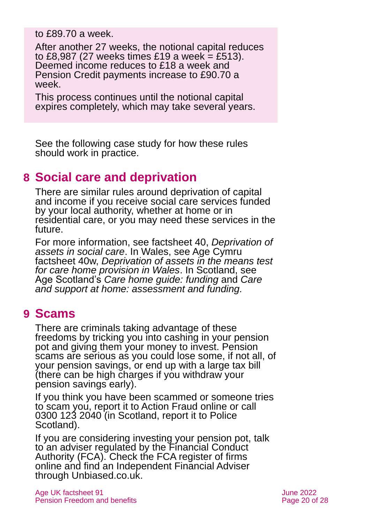to £89.70 a week.

After another 27 weeks, the notional capital reduces to £8,987 (27 weeks times £19 a week = £513). Deemed income reduces to £18 a week and Pension Credit payments increase to £90.70 a week.

This process continues until the notional capital expires completely, which may take several years.

See the following case study for how these rules should work in practice.

## <span id="page-19-0"></span>**8 Social care and deprivation**

There are similar rules around deprivation of capital and income if you receive social care services funded by your local authority, whether at home or in residential care, or you may need these services in the future.

For more information, see factsheet 40, *[Deprivation of](https://www.ageuk.org.uk/globalassets/age-uk/documents/factsheets/fs40_deprivation_of_assets_in_social_care_fcs.pdf)  [assets in social care](https://www.ageuk.org.uk/globalassets/age-uk/documents/factsheets/fs40_deprivation_of_assets_in_social_care_fcs.pdf)*. In Wales, see Age Cymru factsheet 40w, *[Deprivation of assets in the means test](https://www.ageuk.org.uk/globalassets/age-cymru/documents/information-guides-and-factsheets/fs40w.pdf)  [for care home provision in Wales](https://www.ageuk.org.uk/globalassets/age-cymru/documents/information-guides-and-factsheets/fs40w.pdf)*. In Scotland, see Age Scotland's *[Care home guide: funding](https://www.ageuk.org.uk/scotland/information-advice/care-and-support/care-homes/)* and *[Care](https://www.ageuk.org.uk/scotland/information-advice/care-and-support/care-homes/)  [and support at home: assessment and funding.](https://www.ageuk.org.uk/scotland/information-advice/care-and-support/care-homes/)*

## <span id="page-19-1"></span>**9 Scams**

There are criminals taking advantage of these freedoms by tricking you into cashing in your pension pot and giving them your money to invest. Pension scams are serious as you could lose some, if not all, of your pension savings, or end up with a large tax bill (there can be high charges if you withdraw your pension savings early).

If you think you have been scammed or someone tries to scam you, report it to [Action Fraud](http://www.actionfraud.police.uk/report-a-fraud-including-online-crime) [online](http://www.actionfraud.police.uk/report-a-fraud-including-online-crime) or call 0300 123 2040 (in Scotland, report it to [Police](https://www.scotland.police.uk/contact-us/report-fraud)  [Scotland\)](https://www.scotland.police.uk/contact-us/report-fraud).

If you are considering investing your pension pot, talk to an adviser regulated by the [Financial Conduct](https://www.fca.org.uk/)  [Authority](https://www.fca.org.uk/) (FCA). Check the FCA [register of firms](http://www.fca.org.uk/register) online and find an Independent Financial Adviser through [Unbiased.co.uk.](http://www.unbiased.co.uk/)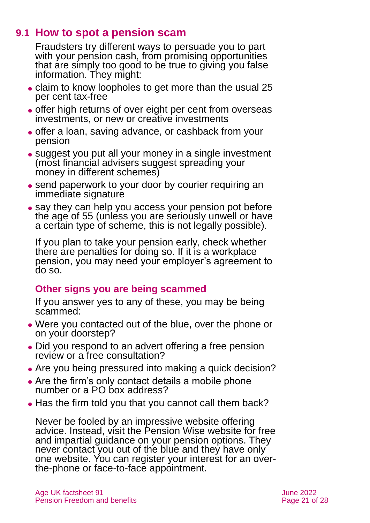## **9.1 How to spot a pension scam**

Fraudsters try different ways to persuade you to part with your pension cash, from promising opportunities that are simply too good to be true to giving you false information. They might:

- claim to know loopholes to get more than the usual 25 per cent tax-free
- ⚫ offer high returns of over eight per cent from overseas investments, or new or creative investments
- ⚫ offer a loan, saving advance, or cashback from your pension
- suggest you put all your money in a single investment (most financial advisers suggest spreading your money in different schemes)
- send paperwork to your door by courier requiring an immediate signature
- ⚫ say they can help you access your pension pot before the age of 55 (unless you are seriously unwell or have a certain type of scheme, this is not legally possible).

If you plan to take your pension early, check whether there are penalties for doing so. If it is a workplace pension, you may need your employer's agreement to do so.

## **Other signs you are being scammed**

If you answer yes to any of these, you may be being scammed:

- ⚫ Were you contacted out of the blue, over the phone or on your doorstep?
- ⚫ Did you respond to an advert offering a free pension review or a free consultation?
- ⚫ Are you being pressured into making a quick decision?
- ⚫ Are the firm's only contact details a mobile phone number or a PO box address?
- Has the firm told you that you cannot call them back?

Never be fooled by an impressive website offering advice. Instead, visit the [Pension Wise](https://www.moneyhelper.org.uk/en/pensions-and-retirement/pension-wise) website for free and impartial guidance on your pension options. They never contact you out of the blue and they have only one website. You can register your interest for an overthe-phone or face-to-face appointment.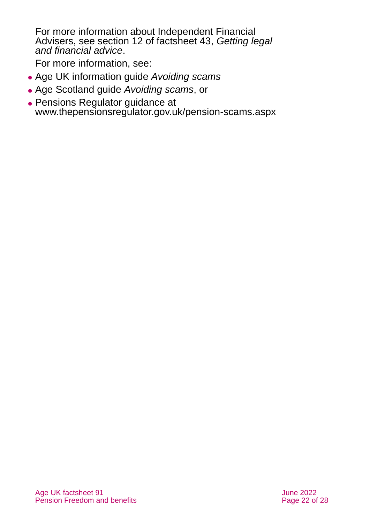For more information about Independent Financial Advisers, see section 12 of factsheet 43, *[Getting legal](https://www.ageuk.org.uk/globalassets/age-uk/documents/factsheets/fs43-getting-legal-and-financial-advice.pdf)  [and financial advice](https://www.ageuk.org.uk/globalassets/age-uk/documents/factsheets/fs43-getting-legal-and-financial-advice.pdf)*.

For more information, see:

- ⚫ Age UK information guide *[Avoiding scams](http://www.ageuk.org.uk/Documents/EN-GB/Information-guides/AgeUKIG05_Avoiding_scams_inf.pdf?dtrk=true)*
- ⚫ Age Scotland guide *[Avoiding scams](https://www.ageuk.org.uk/scotland/information-advice/money-matters/scams/)*, or
- ⚫ Pensions Regulator guidance at [www.thepensionsregulator.gov.uk/pension-scams.aspx](http://www.thepensionsregulator.gov.uk/pension-scams.aspx)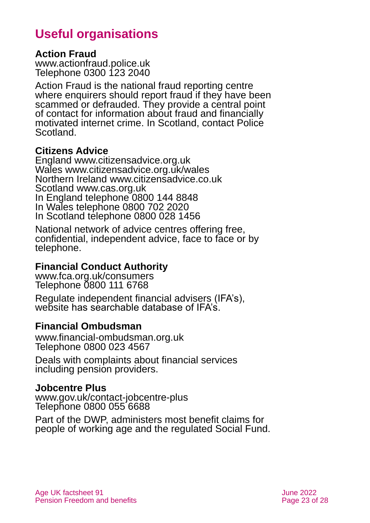## **Useful organisations**

### <span id="page-22-0"></span>**Action Fraud**

[www.actionfraud.police.uk](http://www.actionfraud.police.uk/) Telephone 0300 123 2040

Action Fraud is the national fraud reporting centre where enquirers should report fraud if they have been scammed or defrauded. They provide a central point of contact for information about fraud and financially motivated internet crime. In Scotland, contact Police Scotland.

### <span id="page-22-1"></span>**Citizens Advice**

England [www.citizensadvice.org.uk](http://www.citizensadvice.org.uk/) Wales [www.citizensadvice.org.uk/wales](http://www.citizensadvice.org.uk/wales) Northern Ireland [www.citizensadvice.co.uk](http://www.citizensadvice.co.uk/) Scotland [www.cas.org.uk](http://www.cas.org.uk/) In England telephone 0800 144 8848 In Wales telephone 0800 702 2020 In Scotland telephone 0800 028 1456

National network of advice centres offering free, confidential, independent advice, face to face or by telephone.

## **Financial Conduct Authority**

[www.fca.org.uk/consumers](http://www.fca.org.uk/consumers) Telephone 0800 111 6768

Regulate independent financial advisers (IFA's), website has searchable database of IFA's.

## **Financial Ombudsman**

[www.financial-ombudsman.org.uk](http://www.financial-ombudsman.org.uk/) Telephone 0800 023 4567

Deals with complaints about financial services including pension providers.

## **Jobcentre Plus**

[www.gov.uk/contact-jobcentre-plus](http://www.gov.uk/contact-jobcentre-plus) Telephone 0800 055 6688

Part of the DWP, administers most benefit claims for people of working age and the regulated Social Fund.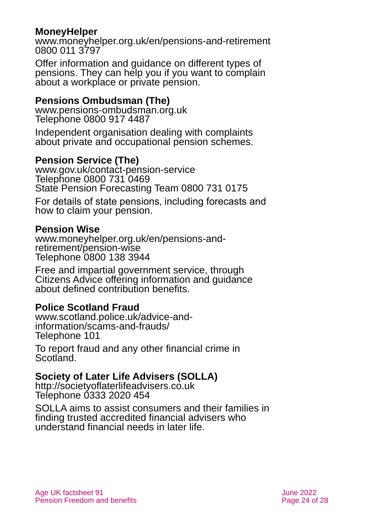### **MoneyHelper**

[www.moneyhelper.org.uk/en/pensions-and-retirement](http://www.moneyhelper.org.uk/en/pensions-and-retirement) 0800 011 3797

Offer information and guidance on different types of pensions. They can help you if you want to complain about a workplace or private pension.

### **Pensions Ombudsman (The)**

[www.pensions-ombudsman.org.uk](http://www.pensions-ombudsman.org.uk/) Telephone 0800 917 4487

Independent organisation dealing with complaints about private and occupational pension schemes.

### **Pension Service (The)**

[www.gov.uk/contact-pension-service](http://www.gov.uk/contact-pension-service)  Telephone 0800 731 0469 State Pension Forecasting Team 0800 731 0175

For details of state pensions, including forecasts and how to claim your pension.

#### **Pension Wise**

[www.moneyhelper.org.uk/en/pensions-and](http://www.moneyhelper.org.uk/en/pensions-and-retirement/pension-wise)[retirement/pension-wise](http://www.moneyhelper.org.uk/en/pensions-and-retirement/pension-wise) Telephone 0800 138 3944

Free and impartial government service, through Citizens Advice offering information and guidance about defined contribution benefits.

### **Police Scotland Fraud**

[www.scotland.police.uk/advice-and](http://www.scotland.police.uk/advice-and-information/scams-and-frauds/)[information/scams-and-frauds/](http://www.scotland.police.uk/advice-and-information/scams-and-frauds/) Telephone 101

To report fraud and any other financial crime in Scotland.

## **Society of Later Life Advisers (SOLLA)**

[http://societyoflaterlifeadvisers.co.uk](http://societyoflaterlifeadvisers.co.uk/) Telephone 0333 2020 454

SOLLA aims to assist consumers and their families in finding trusted accredited financial advisers who understand financial needs in later life.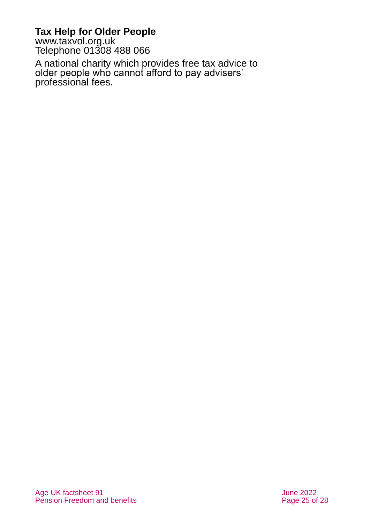## **Tax Help for Older People**

[www.taxvol.org.uk](http://www.taxvol.org.uk/) Telephone 01308 488 066

A national charity which provides free tax advice to older people who cannot afford to pay advisers' professional fees.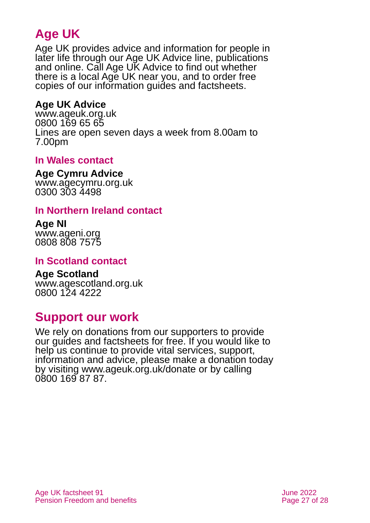## **Age UK**

Age UK provides advice and information for people in later life through our Age UK Advice line, publications and online. Call Age UK Advice to find out whether there is a local Age UK near you, and to order free copies of our information guides and factsheets.

## <span id="page-26-0"></span>**Age UK Advice**

[www.ageuk.org.uk](http://www.ageuk.org.uk/) 0800 169 65 65 Lines are open seven days a week from 8.00am to 7.00pm

## **In Wales contact**

#### **Age Cymru Advice**

[www.agecymru.org.uk](http://www.agecymru.org.uk/) 0300 303 4498

### **In Northern Ireland contact**

#### **Age NI** [www.ageni.org](http://www.ageni.org/)

0808 808 7575

## **In Scotland contact**

## <span id="page-26-1"></span>**Age Scotland**

[www.agescotland.org.uk](http://www.agescotland.org.uk/) 0800 124 4222

## **Support our work**

We rely on donations from our supporters to provide our guides and factsheets for free. If you would like to help us continue to provide vital services, support, information and advice, please make a donation today by visiting [www.ageuk.org.uk/donate](http://www.ageuk.org.uk/donate) or by calling 0800 169 87 87.